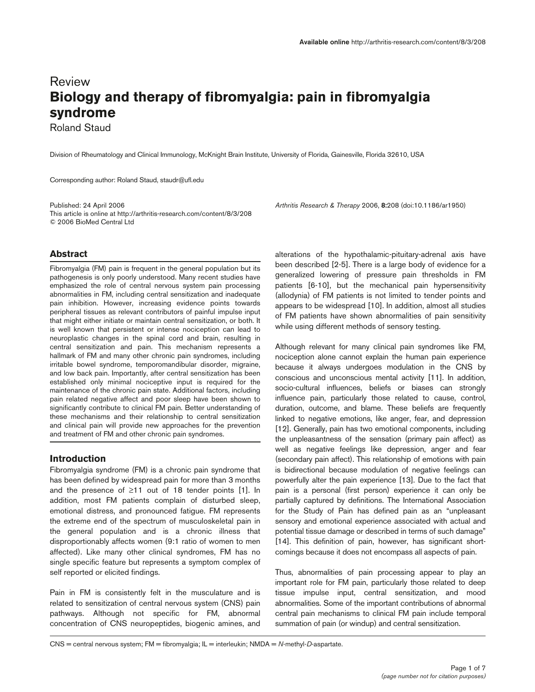# Review **Biology and therapy of fibromyalgia: pain in fibromyalgia syndrome**

Roland Staud

Division of Rheumatology and Clinical Immunology, McKnight Brain Institute, University of Florida, Gainesville, Florida 32610, USA

Corresponding author: Roland Staud, staudr@ufl.edu

Published: 24 April 2006 *Arthritis Research & Therapy* 2006, **8:**208 (doi:10.1186/ar1950) This article is online at http://arthritis-research.com/content/8/3/208 © 2006 BioMed Central Ltd

# **Abstract**

Fibromyalgia (FM) pain is frequent in the general population but its pathogenesis is only poorly understood. Many recent studies have emphasized the role of central nervous system pain processing abnormalities in FM, including central sensitization and inadequate pain inhibition. However, increasing evidence points towards peripheral tissues as relevant contributors of painful impulse input that might either initiate or maintain central sensitization, or both. It is well known that persistent or intense nociception can lead to neuroplastic changes in the spinal cord and brain, resulting in central sensitization and pain. This mechanism represents a hallmark of FM and many other chronic pain syndromes, including irritable bowel syndrome, temporomandibular disorder, migraine, and low back pain. Importantly, after central sensitization has been established only minimal nociceptive input is required for the maintenance of the chronic pain state. Additional factors, including pain related negative affect and poor sleep have been shown to significantly contribute to clinical FM pain. Better understanding of these mechanisms and their relationship to central sensitization and clinical pain will provide new approaches for the prevention and treatment of FM and other chronic pain syndromes.

#### **Introduction**

Fibromyalgia syndrome (FM) is a chronic pain syndrome that has been defined by widespread pain for more than 3 months and the presence of  $\geq 11$  out of 18 tender points [1]. In addition, most FM patients complain of disturbed sleep, emotional distress, and pronounced fatigue. FM represents the extreme end of the spectrum of musculoskeletal pain in the general population and is a chronic illness that disproportionably affects women (9:1 ratio of women to men affected). Like many other clinical syndromes, FM has no single specific feature but represents a symptom complex of self reported or elicited findings.

Pain in FM is consistently felt in the musculature and is related to sensitization of central nervous system (CNS) pain pathways. Although not specific for FM, abnormal concentration of CNS neuropeptides, biogenic amines, and

alterations of the hypothalamic-pituitary-adrenal axis have been described [2-5]. There is a large body of evidence for a generalized lowering of pressure pain thresholds in FM patients [6-10], but the mechanical pain hypersensitivity (allodynia) of FM patients is not limited to tender points and appears to be widespread [10]. In addition, almost all studies of FM patients have shown abnormalities of pain sensitivity while using different methods of sensory testing.

Although relevant for many clinical pain syndromes like FM, nociception alone cannot explain the human pain experience because it always undergoes modulation in the CNS by conscious and unconscious mental activity [11]. In addition, socio-cultural influences, beliefs or biases can strongly influence pain, particularly those related to cause, control, duration, outcome, and blame. These beliefs are frequently linked to negative emotions, like anger, fear, and depression [12]. Generally, pain has two emotional components, including the unpleasantness of the sensation (primary pain affect) as well as negative feelings like depression, anger and fear (secondary pain affect). This relationship of emotions with pain is bidirectional because modulation of negative feelings can powerfully alter the pain experience [13]. Due to the fact that pain is a personal (first person) experience it can only be partially captured by definitions. The International Association for the Study of Pain has defined pain as an "unpleasant sensory and emotional experience associated with actual and potential tissue damage or described in terms of such damage" [14]. This definition of pain, however, has significant shortcomings because it does not encompass all aspects of pain.

Thus, abnormalities of pain processing appear to play an important role for FM pain, particularly those related to deep tissue impulse input, central sensitization, and mood abnormalities. Some of the important contributions of abnormal central pain mechanisms to clinical FM pain include temporal summation of pain (or windup) and central sensitization.

CNS = central nervous system; FM = fibromyalgia; IL = interleukin; NMDA = *N*-methyl-*D*-aspartate.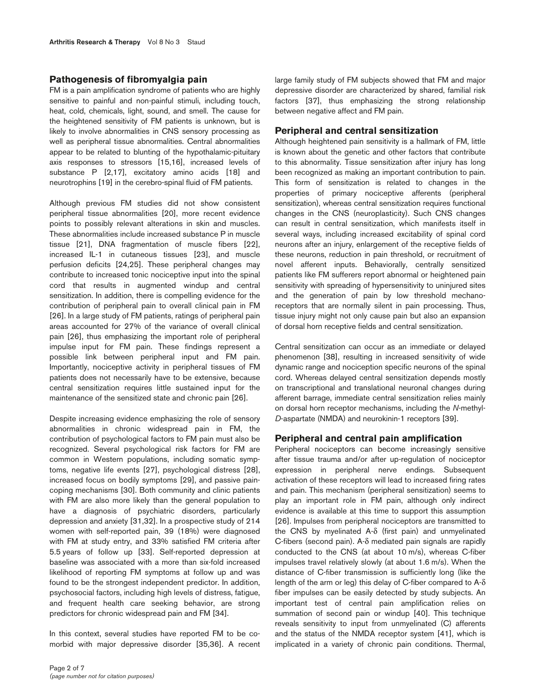#### **Pathogenesis of fibromyalgia pain**

FM is a pain amplification syndrome of patients who are highly sensitive to painful and non-painful stimuli, including touch, heat, cold, chemicals, light, sound, and smell. The cause for the heightened sensitivity of FM patients is unknown, but is likely to involve abnormalities in CNS sensory processing as well as peripheral tissue abnormalities. Central abnormalities appear to be related to blunting of the hypothalamic-pituitary axis responses to stressors [15,16], increased levels of substance P [2,17], excitatory amino acids [18] and neurotrophins [19] in the cerebro-spinal fluid of FM patients.

Although previous FM studies did not show consistent peripheral tissue abnormalities [20], more recent evidence points to possibly relevant alterations in skin and muscles. These abnormalities include increased substance P in muscle tissue [21], DNA fragmentation of muscle fibers [22], increased IL-1 in cutaneous tissues [23], and muscle perfusion deficits [24,25]. These peripheral changes may contribute to increased tonic nociceptive input into the spinal cord that results in augmented windup and central sensitization. In addition, there is compelling evidence for the contribution of peripheral pain to overall clinical pain in FM [26]. In a large study of FM patients, ratings of peripheral pain areas accounted for 27% of the variance of overall clinical pain [26], thus emphasizing the important role of peripheral impulse input for FM pain. These findings represent a possible link between peripheral input and FM pain. Importantly, nociceptive activity in peripheral tissues of FM patients does not necessarily have to be extensive, because central sensitization requires little sustained input for the maintenance of the sensitized state and chronic pain [26].

Despite increasing evidence emphasizing the role of sensory abnormalities in chronic widespread pain in FM, the contribution of psychological factors to FM pain must also be recognized. Several psychological risk factors for FM are common in Western populations, including somatic symptoms, negative life events [27], psychological distress [28], increased focus on bodily symptoms [29], and passive paincoping mechanisms [30]. Both community and clinic patients with FM are also more likely than the general population to have a diagnosis of psychiatric disorders, particularly depression and anxiety [31,32]. In a prospective study of 214 women with self-reported pain, 39 (18%) were diagnosed with FM at study entry, and 33% satisfied FM criteria after 5.5 years of follow up [33]. Self-reported depression at baseline was associated with a more than six-fold increased likelihood of reporting FM symptoms at follow up and was found to be the strongest independent predictor. In addition, psychosocial factors, including high levels of distress, fatigue, and frequent health care seeking behavior, are strong predictors for chronic widespread pain and FM [34].

In this context, several studies have reported FM to be comorbid with major depressive disorder [35,36]. A recent large family study of FM subjects showed that FM and major depressive disorder are characterized by shared, familial risk factors [37], thus emphasizing the strong relationship between negative affect and FM pain.

#### **Peripheral and central sensitization**

Although heightened pain sensitivity is a hallmark of FM, little is known about the genetic and other factors that contribute to this abnormality. Tissue sensitization after injury has long been recognized as making an important contribution to pain. This form of sensitization is related to changes in the properties of primary nociceptive afferents (peripheral sensitization), whereas central sensitization requires functional changes in the CNS (neuroplasticity). Such CNS changes can result in central sensitization, which manifests itself in several ways, including increased excitability of spinal cord neurons after an injury, enlargement of the receptive fields of these neurons, reduction in pain threshold, or recruitment of novel afferent inputs. Behaviorally, centrally sensitized patients like FM sufferers report abnormal or heightened pain sensitivity with spreading of hypersensitivity to uninjured sites and the generation of pain by low threshold mechanoreceptors that are normally silent in pain processing. Thus, tissue injury might not only cause pain but also an expansion of dorsal horn receptive fields and central sensitization.

Central sensitization can occur as an immediate or delayed phenomenon [38], resulting in increased sensitivity of wide dynamic range and nociception specific neurons of the spinal cord. Whereas delayed central sensitization depends mostly on transcriptional and translational neuronal changes during afferent barrage, immediate central sensitization relies mainly on dorsal horn receptor mechanisms, including the *N*-methyl-*D*-aspartate (NMDA) and neurokinin-1 receptors [39].

## **Peripheral and central pain amplification**

Peripheral nociceptors can become increasingly sensitive after tissue trauma and/or after up-regulation of nociceptor expression in peripheral nerve endings. Subsequent activation of these receptors will lead to increased firing rates and pain. This mechanism (peripheral sensitization) seems to play an important role in FM pain, although only indirect evidence is available at this time to support this assumption [26]. Impulses from peripheral nociceptors are transmitted to the CNS by myelinated A-δ (first pain) and unmyelinated C-fibers (second pain). A-δ mediated pain signals are rapidly conducted to the CNS (at about 10 m/s), whereas C-fiber impulses travel relatively slowly (at about 1.6 m/s). When the distance of C-fiber transmission is sufficiently long (like the length of the arm or leg) this delay of C-fiber compared to A-δ fiber impulses can be easily detected by study subjects. An important test of central pain amplification relies on summation of second pain or windup [40]. This technique reveals sensitivity to input from unmyelinated (C) afferents and the status of the NMDA receptor system [41], which is implicated in a variety of chronic pain conditions. Thermal,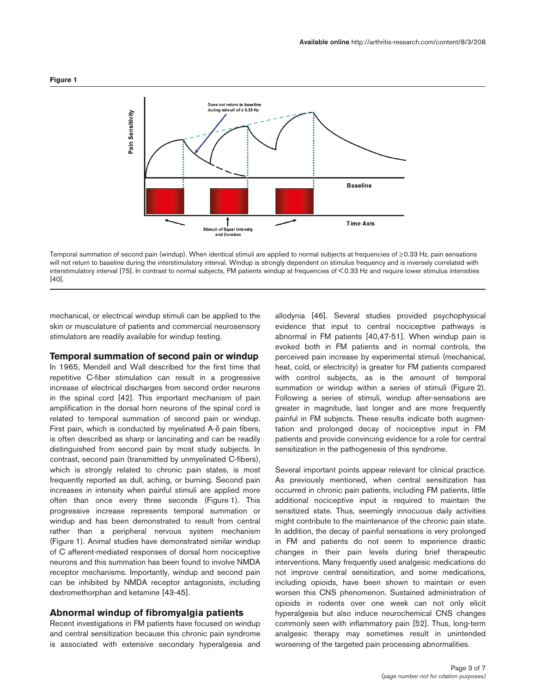

Temporal summation of second pain (windup). When identical stimuli are applied to normal subjects at frequencies of ≥0.33 Hz, pain sensations will not return to baseline during the interstimulatory interval. Windup is strongly dependent on stimulus frequency and is inversely correlated with interstimulatory interval [75]. In contrast to normal subjects, FM patients windup at frequencies of < 0.33 Hz and require lower stimulus intensities [40].

mechanical, or electrical windup stimuli can be applied to the skin or musculature of patients and commercial neurosensory stimulators are readily available for windup testing.

## **Temporal summation of second pain or windup**

In 1965, Mendell and Wall described for the first time that repetitive C-fiber stimulation can result in a progressive increase of electrical discharges from second order neurons in the spinal cord [42]. This important mechanism of pain amplification in the dorsal horn neurons of the spinal cord is related to temporal summation of second pain or windup. First pain, which is conducted by myelinated  $A - \delta$  pain fibers, is often described as sharp or lancinating and can be readily distinguished from second pain by most study subjects. In contrast, second pain (transmitted by unmyelinated C-fibers), which is strongly related to chronic pain states, is most frequently reported as dull, aching, or burning. Second pain increases in intensity when painful stimuli are applied more often than once every three seconds (Figure 1). This progressive increase represents temporal summation or windup and has been demonstrated to result from central rather than a peripheral nervous system mechanism (Figure 1). Animal studies have demonstrated similar windup of C afferent-mediated responses of dorsal horn nociceptive neurons and this summation has been found to involve NMDA receptor mechanisms. Importantly, windup and second pain can be inhibited by NMDA receptor antagonists, including dextromethorphan and ketamine [43-45].

## **Abnormal windup of fibromyalgia patients**

Recent investigations in FM patients have focused on windup and central sensitization because this chronic pain syndrome is associated with extensive secondary hyperalgesia and

allodynia [46]. Several studies provided psychophysical evidence that input to central nociceptive pathways is abnormal in FM patients [40,47-51]. When windup pain is evoked both in FM patients and in normal controls, the perceived pain increase by experimental stimuli (mechanical, heat, cold, or electricity) is greater for FM patients compared with control subjects, as is the amount of temporal summation or windup within a series of stimuli (Figure 2). Following a series of stimuli, windup after-sensations are greater in magnitude, last longer and are more frequently painful in FM subjects. These results indicate both augmentation and prolonged decay of nociceptive input in FM patients and provide convincing evidence for a role for central sensitization in the pathogenesis of this syndrome.

Several important points appear relevant for clinical practice. As previously mentioned, when central sensitization has occurred in chronic pain patients, including FM patients, little additional nociceptive input is required to maintain the sensitized state. Thus, seemingly innocuous daily activities might contribute to the maintenance of the chronic pain state. In addition, the decay of painful sensations is very prolonged in FM and patients do not seem to experience drastic changes in their pain levels during brief therapeutic interventions. Many frequently used analgesic medications do not improve central sensitization, and some medications, including opioids, have been shown to maintain or even worsen this CNS phenomenon. Sustained administration of opioids in rodents over one week can not only elicit hyperalgesia but also induce neurochemical CNS changes commonly seen with inflammatory pain [52]. Thus, long-term analgesic therapy may sometimes result in unintended worsening of the targeted pain processing abnormalities.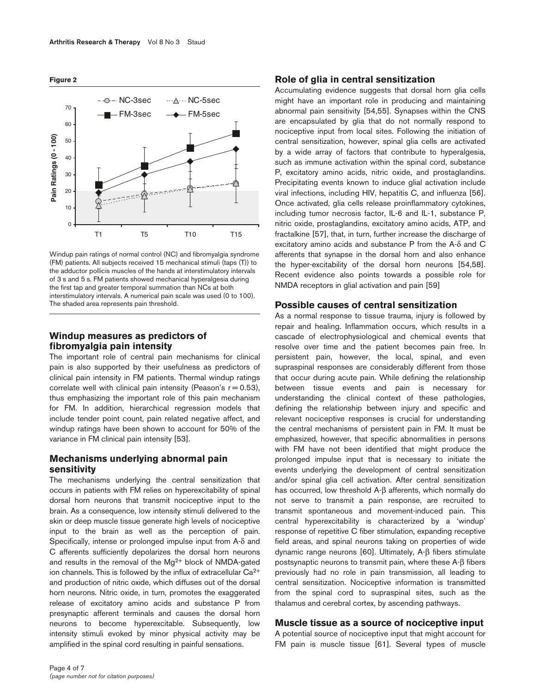**Figure 2**



Windup pain ratings of normal control (NC) and fibromyalgia syndrome (FM) patients. All subjects received 15 mechanical stimuli (taps (T)) to the adductor pollicis muscles of the hands at interstimulatory intervals of 3 s and 5 s. FM patients showed mechanical hyperalgesia during the first tap and greater temporal summation than NCs at both interstimulatory intervals. A numerical pain scale was used (0 to 100). The shaded area represents pain threshold.

# **Windup measures as predictors of fibromyalgia pain intensity**

The important role of central pain mechanisms for clinical pain is also supported by their usefulness as predictors of clinical pain intensity in FM patients. Thermal windup ratings correlate well with clinical pain intensity (Peason's  $r = 0.53$ ), thus emphasizing the important role of this pain mechanism for FM. In addition, hierarchical regression models that include tender point count, pain related negative affect, and windup ratings have been shown to account for 50% of the variance in FM clinical pain intensity [53].

# **Mechanisms underlying abnormal pain sensitivity**

The mechanisms underlying the central sensitization that occurs in patients with FM relies on hyperexcitability of spinal dorsal horn neurons that transmit nociceptive input to the brain. As a consequence, low intensity stimuli delivered to the skin or deep muscle tissue generate high levels of nociceptive input to the brain as well as the perception of pain. Specifically, intense or prolonged impulse input from A-δ and C afferents sufficiently depolarizes the dorsal horn neurons and results in the removal of the Mg<sup>2+</sup> block of NMDA-gated ion channels. This is followed by the influx of extracellular  $Ca<sup>2+</sup>$ and production of nitric oxide, which diffuses out of the dorsal horn neurons. Nitric oxide, in turn, promotes the exaggerated release of excitatory amino acids and substance P from presynaptic afferent terminals and causes the dorsal horn neurons to become hyperexcitable. Subsequently, low intensity stimuli evoked by minor physical activity may be amplified in the spinal cord resulting in painful sensations.

#### **Role of glia in central sensitization**

Accumulating evidence suggests that dorsal horn glia cells might have an important role in producing and maintaining abnormal pain sensitivity [54,55]. Synapses within the CNS are encapsulated by glia that do not normally respond to nociceptive input from local sites. Following the initiation of central sensitization, however, spinal glia cells are activated by a wide array of factors that contribute to hyperalgesia, such as immune activation within the spinal cord, substance P, excitatory amino acids, nitric oxide, and prostaglandins. Precipitating events known to induce glial activation include viral infections, including HIV, hepatitis C, and influenza [56]. Once activated, glia cells release proinflammatory cytokines, including tumor necrosis factor, IL-6 and IL-1, substance P, nitric oxide, prostaglandins, excitatory amino acids, ATP, and fractalkine [57], that, in turn, further increase the discharge of excitatory amino acids and substance P from the A-δ and C afferents that synapse in the dorsal horn and also enhance the hyper-excitability of the dorsal horn neurons [54,58]. Recent evidence also points towards a possible role for NMDA receptors in glial activation and pain [59]

# **Possible causes of central sensitization**

As a normal response to tissue trauma, injury is followed by repair and healing. Inflammation occurs, which results in a cascade of electrophysiological and chemical events that resolve over time and the patient becomes pain free. In persistent pain, however, the local, spinal, and even supraspinal responses are considerably different from those that occur during acute pain. While defining the relationship between tissue events and pain is necessary for understanding the clinical context of these pathologies, defining the relationship between injury and specific and relevant nociceptive responses is crucial for understanding the central mechanisms of persistent pain in FM. It must be emphasized, however, that specific abnormalities in persons with FM have not been identified that might produce the prolonged impulse input that is necessary to initiate the events underlying the development of central sensitization and/or spinal glia cell activation. After central sensitization has occurred, low threshold A-β afferents, which normally do not serve to transmit a pain response, are recruited to transmit spontaneous and movement-induced pain. This central hyperexcitability is characterized by a 'windup' response of repetitive C fiber stimulation, expanding receptive field areas, and spinal neurons taking on properties of wide dynamic range neurons [60]. Ultimately, A-β fibers stimulate postsynaptic neurons to transmit pain, where these A-β fibers previously had no role in pain transmission, all leading to central sensitization. Nociceptive information is transmitted from the spinal cord to supraspinal sites, such as the thalamus and cerebral cortex, by ascending pathways.

# **Muscle tissue as a source of nociceptive input**

A potential source of nociceptive input that might account for FM pain is muscle tissue [61]. Several types of muscle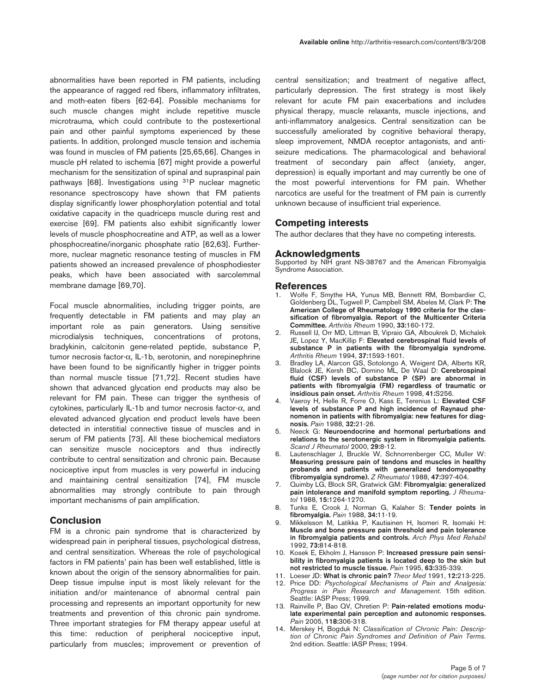abnormalities have been reported in FM patients, including the appearance of ragged red fibers, inflammatory infiltrates, and moth-eaten fibers [62-64]. Possible mechanisms for such muscle changes might include repetitive muscle microtrauma, which could contribute to the postexertional pain and other painful symptoms experienced by these patients. In addition, prolonged muscle tension and ischemia was found in muscles of FM patients [25,65,66]. Changes in muscle pH related to ischemia [67] might provide a powerful mechanism for the sensitization of spinal and supraspinal pain pathways [68]. Investigations using <sup>31</sup>P nuclear magnetic resonance spectroscopy have shown that FM patients display significantly lower phosphorylation potential and total oxidative capacity in the quadriceps muscle during rest and exercise [69]. FM patients also exhibit significantly lower levels of muscle phosphocreatine and ATP, as well as a lower phosphocreatine/inorganic phosphate ratio [62,63]. Furthermore, nuclear magnetic resonance testing of muscles in FM patients showed an increased prevalence of phosphodiester peaks, which have been associated with sarcolemmal membrane damage [69,70].

Focal muscle abnormalities, including trigger points, are frequently detectable in FM patients and may play an important role as pain generators. Using sensitive microdialysis techniques, concentrations of protons, bradykinin, calcitonin gene-related peptide, substance P, tumor necrosis factor-α, IL-1b, serotonin, and norepinephrine have been found to be significantly higher in trigger points than normal muscle tissue [71,72]. Recent studies have shown that advanced glycation end products may also be relevant for FM pain. These can trigger the synthesis of cytokines, particularly IL-1b and tumor necrosis factor-α, and elevated advanced glycation end product levels have been detected in interstitial connective tissue of muscles and in serum of FM patients [73]. All these biochemical mediators can sensitize muscle nociceptors and thus indirectly contribute to central sensitization and chronic pain. Because nociceptive input from muscles is very powerful in inducing and maintaining central sensitization [74], FM muscle abnormalities may strongly contribute to pain through important mechanisms of pain amplification.

#### **Conclusion**

FM is a chronic pain syndrome that is characterized by widespread pain in peripheral tissues, psychological distress, and central sensitization. Whereas the role of psychological factors in FM patients' pain has been well established, little is known about the origin of the sensory abnormalities for pain. Deep tissue impulse input is most likely relevant for the initiation and/or maintenance of abnormal central pain processing and represents an important opportunity for new treatments and prevention of this chronic pain syndrome. Three important strategies for FM therapy appear useful at this time: reduction of peripheral nociceptive input, particularly from muscles; improvement or prevention of

central sensitization; and treatment of negative affect, particularly depression. The first strategy is most likely relevant for acute FM pain exacerbations and includes physical therapy, muscle relaxants, muscle injections, and anti-inflammatory analgesics. Central sensitization can be successfully ameliorated by cognitive behavioral therapy, sleep improvement, NMDA receptor antagonists, and antiseizure medications. The pharmacological and behavioral treatment of secondary pain affect (anxiety, anger, depression) is equally important and may currently be one of the most powerful interventions for FM pain. Whether narcotics are useful for the treatment of FM pain is currently unknown because of insufficient trial experience.

# **Competing interests**

The author declares that they have no competing interests.

#### **Acknowledgments**

Supported by NIH grant NS-38767 and the American Fibromyalgia Syndrome Association.

#### **References**

- 1. Wolfe F, Smythe HA, Yunus MB, Bennett RM, Bombardier C, Goldenberg DL, Tugwell P, Campbell SM, Abeles M, Clark P: **The American College of Rheumatology 1990 criteria for the classification of fibromyalgia. Report of the Multicenter Criteria Committee.** *Arthritis Rheum* 1990, **33:**160-172.
- 2. Russell IJ, Orr MD, Littman B, Vipraio GA, Alboukrek D, Michalek JE, Lopez Y, MacKillip F: **Elevated cerebrospinal fluid levels of substance P in patients with the fibromyalgia syndrome.** *Arthritis Rheum* 1994, **37:**1593-1601.
- 3. Bradley LA, Alarcon GS, Sotolongo A, Weigent DA, Alberts KR, Blalock JE, Kersh BC, Domino ML, De Waal D: **Cerebrospinal fluid (CSF) levels of substance P (SP) are abnormal in patients with fibromyalgia (FM) regardless of traumatic or insidious pain onset.** *Arthritis Rheum* 1998, **41:**S256.
- 4. Vaeroy H, Helle R, Forre O, Kass E, Terenius L: **Elevated CSF levels of substance P and high incidence of Raynaud phenomenon in patients with fibromyalgia: new features for diagnosis.** *Pain* 1988, **32:**21-26.
- 5. Neeck G: **Neuroendocrine and hormonal perturbations and relations to the serotonergic system in fibromyalgia patients.** *Scand J Rheumatol* 2000, **29:**8-12.
- 6. Lautenschlager J, Bruckle W, Schnorrenberger CC, Muller W: **Measuring pressure pain of tendons and muscles in healthy probands and patients with generalized tendomyopathy (fibromyalgia syndrome).** *Z Rheumatol* 1988, **47:**397-404.
- 7. Quimby LG, Block SR, Gratwick GM: **Fibromyalgia: generalized pain intolerance and manifold symptom reporting.** *J Rheumatol* 1988, **15:**1264-1270.
- 8. Tunks E, Crook J, Norman G, Kalaher S: **Tender points in fibromyalgia.** *Pain* 1988, **34:**11-19.
- 9. Mikkelsson M, Latikka P, Kautiainen H, Isomeri R, Isomaki H: **Muscle and bone pressure pain threshold and pain tolerance in fibromyalgia patients and controls.** *Arch Phys Med Rehabil* 1992, **73:**814-818.
- 10. Kosek E, Ekholm J, Hansson P: **Increased pressure pain sensibility in fibromyalgia patients is located deep to the skin but not restricted to muscle tissue.** *Pain* 1995, **63:**335-339.
- 11. Loeser JD: **What is chronic pain?** *Theor Med* 1991, **12:**213-225.
- 12. Price DD: *Psychological Mechanisms of Pain and Analgesia: Progress in Pain Research and Management*. 15th edition. Seattle: IASP Press; 1999.
- 13. Rainville P, Bao QV, Chretien P: **Pain-related emotions modulate experimental pain perception and autonomic responses.** *Pain* 2005, **118:**306-318.
- 14. Merskey H, Bogduk N: *Classification of Chronic Pain: Description of Chronic Pain Syndromes and Definition of Pain Terms*. 2nd edition. Seattle: IASP Press; 1994.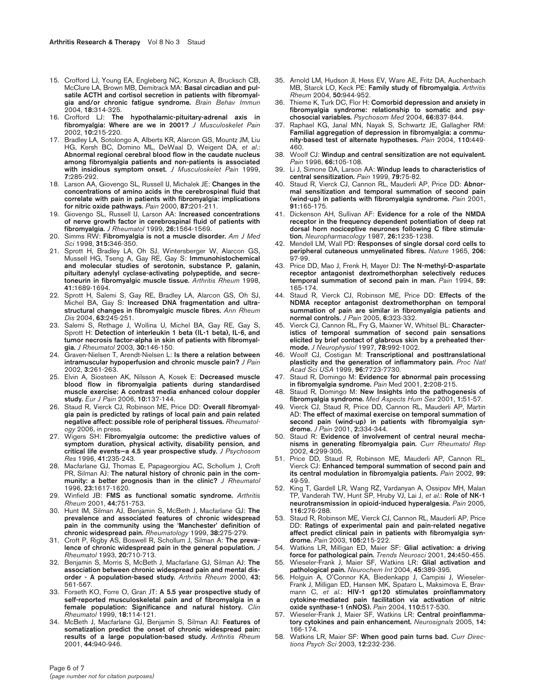- 15. Crofford LJ, Young EA, Engleberg NC, Korszun A, Brucksch CB, McClure LA, Brown MB, Demitrack MA: **Basal circadian and pulsatile ACTH and cortisol secretion in patients with fibromyalgia and/or chronic fatigue syndrome.** *Brain Behav Immun* 2004, **18:**314-325.
- 16. Crofford LJ: **The hypothalamic-pituitary-adrenal axis in fibromyalgia: Where are we in 2001?** *J Musculoskelet Pain* 2002, **10:**215-220.
- 17. Bradley LA, Sotolongo A, Alberts KR, Alarcon GS, Mountz JM, Liu HG, Kersh BC, Domino ML, DeWaal D, Weigent DA, *et al*.: **Abnormal regional cerebral blood flow in the caudate nucleus among fibromyalgia patients and non-patients is associated with insidious symptom onset.** *J Musculoskelet Pain* 1999, **7:**285-292.
- 18. Larson AA, Giovengo SL, Russell IJ, Michalek JE: **Changes in the concentrations of amino acids in the cerebrospinal fluid that correlate with pain in patients with fibromyalgia: implications for nitric oxide pathways.** *Pain* 2000, **87:**201-211.
- 19. Giovengo SL, Russell IJ, Larson AA: **Increased concentrations of nerve growth factor in cerebrospinal fluid of patients with fibromyalgia.** *J Rheumatol* 1999, **26:**1564-1569.
- 20. Simms RW: **Fibromyalgia is not a muscle disorder.** *Am J Med Sci* 1998, **315:**346-350.
- 21. Sprott H, Bradley LA, Oh SJ, Wintersberger W, Alarcon GS, Mussell HG, Tseng A, Gay RE, Gay S: **Immunohistochemical and molecular studies of serotonin, substance P, galanin, pituitary adenylyl cyclase-activating polypeptide, and secretoneurin in fibromyalgic muscle tissue.** *Arthritis Rheum* 1998, **41:**1689-1694.
- 22. Sprott H, Salemi S, Gay RE, Bradley LA, Alarcon GS, Oh SJ, Michel BA, Gay S: **Increased DNA fragmentation and ultrastructural changes in fibromyalgic muscle fibres.** *Ann Rheum Dis* 2004, **63:**245-251.
- 23. Salemi S, Rethage J, Wollina U, Michel BA, Gay RE, Gay S, Sprott H: **Detection of interleukin 1 beta (IL-1 beta), IL-6, and tumor necrosis factor-alpha in skin of patients with fibromyalgia.** *J Rheumatol* 2003, **30:**146-150.
- 24. Graven-Nielsen T, Arendt-Nielsen L: **Is there a relation between intramuscular hypoperfusion and chronic muscle pain?** *J Pain* 2002, **3:**261-263.
- 25. Elvin A, Siosteen AK, Nilsson A, Kosek E: **Decreased muscle blood flow in fibromyalgia patients during standardised muscle exercise: A contrast media enhanced colour doppler study.** *Eur J Pain* 2006, **10:**137-144.
- 26. Staud R, Vierck CJ, Robinson ME, Price DD: **Overall fibromyalgia pain is predicted by ratings of local pain and pain related negative affect: possible role of peripheral tissues.** *Rheumatology* 2006, in press.
- 27. Wigers SH: **Fibromyalgia outcome: the predictive values of symptom duration, physical activity, disability pension, and critical life events—a 4.5 year prospective study.** *J Psychosom Res* 1996, **41:**235-243.
- 28. Macfarlane GJ, Thomas E, Papageorgiou AC, Schollum J, Croft PR, Silman AJ: **The natural history of chronic pain in the community: a better prognosis than in the clinic?** *J Rheumatol* 1996, **23:**1617-1620.
- 29. Winfield JB: **FMS as functional somatic syndrome.** *Arthritis Rheum* 2001, **44:**751-753.
- 30. Hunt IM, Silman AJ, Benjamin S, McBeth J, Macfarlane GJ: **The prevalence and associated features of chronic widespread pain in the community using the 'Manchester' definition of chronic widespread pain.** *Rheumatology* 1999, **38:**275-279.
- 31. Croft P, Rigby AS, Boswell R, Schollum J, Silman A: **The prevalence of chronic widespread pain in the general population.** *J Rheumatol* 1993, **20:**710-713.
- 32. Benjamin S, Morris S, McBeth J, Macfarlane GJ, Silman AJ: **The association between chronic widespread pain and mental disorder - A population-based study.** *Arthritis Rheum* 2000, **43:** 561-567.
- 33. Forseth KO, Forre O, Gran JT: **A 5.5 year prospective study of self-reported musculoskeletal pain and of fibromyalgia in a female population: Significance and natural history.** *Clin Rheumatol* 1999, **18:**114-121.
- 34. McBeth J, Macfarlane GJ, Benjamin S, Silman AJ: **Features of somatization predict the onset of chronic widespread pain: results of a large population-based study.** *Arthritis Rheum* 2001, **44:**940-946.
- 35. Arnold LM, Hudson JI, Hess EV, Ware AE, Fritz DA, Auchenbach MB, Starck LO, Keck PE: **Family study of fibromyalgia.** *Arthritis Rheum* 2004, **50:**944-952.
- 36. Thieme K, Turk DC, Flor H: **Comorbid depression and anxiety in fibromyalgia syndrome: relationship to somatic and psychosocial variables.** *Psychosom Med* 2004, **66:**837-844.
- 37. Raphael KG, Janal MN, Nayak S, Schwartz JE, Gallagher RM: **Familial aggregation of depression in fibromyalgia: a community-based test of alternate hypotheses.** *Pain* 2004, **110:**449- 460.
- 38. Woolf CJ: **Windup and central sensitization are not equivalent.** *Pain* 1996, **66:**105-108.
- 39. Li J, Simone DA, Larson AA: **Windup leads to characteristics of central sensitization.** *Pain* 1999, **79:**75-82.
- Staud R, Vierck CJ, Cannon RL, Mauderli AP, Price DD: Abnor**mal sensitization and temporal summation of second pain (wind-up) in patients with fibromyalgia syndrome.** *Pain* 2001, **91:**165-175.
- 41. Dickenson AH, Sullivan AF: **Evidence for a role of the NMDA receptor in the frequency dependent potentiation of deep rat dorsal horn nociceptive neurones following C fibre stimulation.** *Neuropharmacology* 1987, **26:**1235-1238.
- 42. Mendell LM, Wall PD: **Responses of single dorsal cord cells to peripheral cutaneous unmyelinated fibres.** *Nature* 1965, **206:** 97-99.
- 43. Price DD, Mao J, Frenk H, Mayer DJ: **The N-methyl-D-aspartate receptor antagonist dextromethorphan selectively reduces temporal summation of second pain in man.** *Pain* 1994, **59:** 165-174.
- 44. Staud R, Vierck CJ, Robinson ME, Price DD: **Effects of the NDMA receptor antagonist dextromethorphan on temporal summation of pain are similar in fibromyalgia patients and normal controls.** *J Pain* 2005, **6:**323-332.
- 45. Vierck CJ, Cannon RL, Fry G, Maixner W, Whitsel BL: **Characteristics of temporal summation of second pain sensations elicited by brief contact of glabrous skin by a preheated thermode.** *J Neurophysiol* 1997, **78:**992-1002.
- 46. Woolf CJ, Costigan M: **Transcriptional and posttranslational plasticity and the generation of inflammatory pain.** *Proc Natl Acad Sci USA* 1999, **96:**7723-7730.
- 47. Staud R, Domingo M: **Evidence for abnormal pain processing in fibromyalgia syndrome.** *Pain* Med 2001, **2:**208-215.
- 48. Staud R, Domingo M: **New Insights into the pathogenesis of fibromyalgia syndrome.** *Med Aspects Hum Sex* 2001, **1:**51-57.
- 49. Vierck CJ, Staud R, Price DD, Cannon RL, Mauderli AP, Martin AD: **The effect of maximal exercise on temporal summation of second pain (wind-up) in patients with fibromyalgia syndrome.** *J Pain* 2001, **2:**334-344.
- 50. Staud R: **Evidence of involvement of central neural mechanisms in generating fibromyalgia pain.** *Curr Rheumatol Rep* 2002, **4:**299-305.
- 51. Price DD, Staud R, Robinson ME, Mauderli AP, Cannon RL, Vierck CJ: **Enhanced temporal summation of second pain and its central modulation in fibromyalgia patients.** *Pain* 2002, **99:** 49-59.
- 52. King T, Gardell LR, Wang RZ, Vardanyan A, Ossipov MH, Malan TP, Vanderah TW, Hunt SP, Hruby VJ, Lai J, *et al*.: **Role of NK-1 neurotransmission in opioid-induced hyperalgesia.** *Pain* 2005, **116:**276-288.
- 53. Staud R, Robinson ME, Vierck CJ, Cannon RL, Mauderli AP, Price DD: **Ratings of experimental pain and pain-related negative affect predict clinical pain in patients with fibromyalgia syndrome.** *Pain* 2003, **105:**215-222.
- 54. Watkins LR, Milligan ED, Maier SF: **Glial activation: a driving force for pathological pain.** *Trends Neurosci* 2001, **24:**450-455.
- 55. Wieseler-Frank J, Maier SF, Watkins LR: **Glial activation and pathological pain.** *Neurochem Int* 2004, **45:**389-395.
- 56. Holguin A, O'Connor KA, Biedenkapp J, Campisi J, Wieseler-Frank J, Milligan ED, Hansen MK, Spataro L, Maksimova E, Bravmann C, *et al*.: **HIV-1 gp120 stimulates proinflammatory cytokine-mediated pain facilitation via activation of nitric oxide synthase-1 (nNOS).** *Pain* 2004, **110:**517-530.
- 57. Wieseler-Frank J, Maier SF, Watkins LR: **Central proinflammatory cytokines and pain enhancement.** *Neurosignals* 2005, **14:** 166-174.
- 58. Watkins LR, Maier SF: **When good pain turns bad.** *Curr Directions Psych Sci* 2003, **12:**232-236.